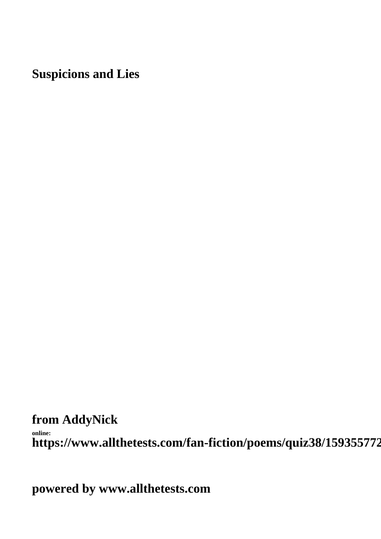**Suspicions and Lies**

**from AddyNick**

**online:** https://www.allthetests.com/fan-fiction/poems/quiz38/159355772

**powered by www.allthetests.com**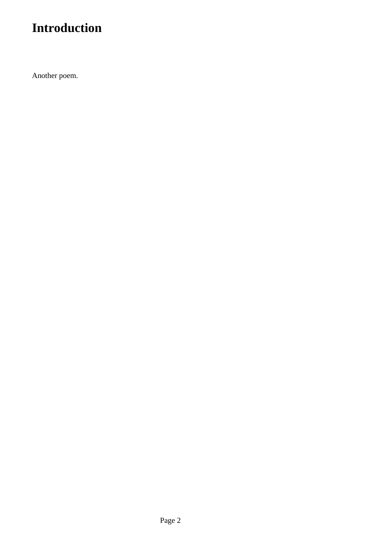## **Introduction**

Another poem.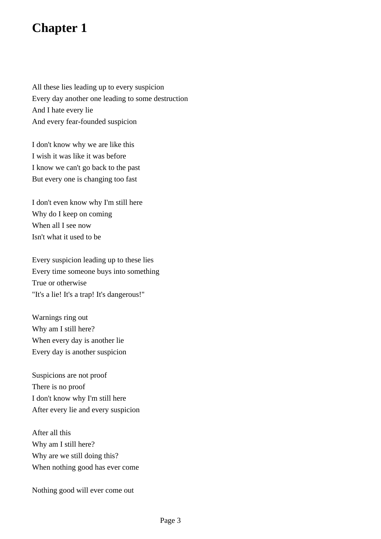## **Chapter 1**

All these lies leading up to every suspicion Every day another one leading to some destruction And I hate every lie And every fear-founded suspicion

I don't know why we are like this I wish it was like it was before I know we can't go back to the past But every one is changing too fast

I don't even know why I'm still here Why do I keep on coming When all I see now Isn't what it used to be

Every suspicion leading up to these lies Every time someone buys into something True or otherwise "It's a lie! It's a trap! It's dangerous!"

Warnings ring out Why am I still here? When every day is another lie Every day is another suspicion

Suspicions are not proof There is no proof I don't know why I'm still here After every lie and every suspicion

After all this Why am I still here? Why are we still doing this? When nothing good has ever come

Nothing good will ever come out